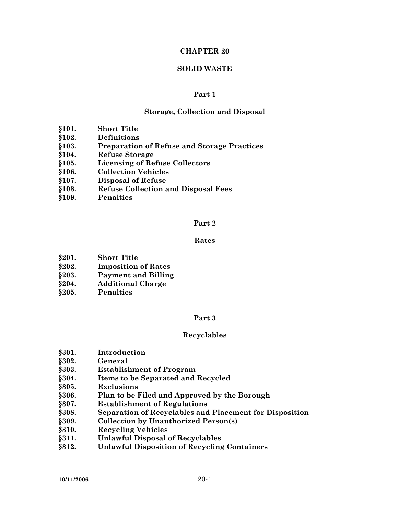#### **CHAPTER 20**

#### **SOLID WASTE**

### **Part 1**

#### **Storage, Collection and Disposal**

- **§101. Short Title**
- **§102. Definitions**
- **§103. Preparation of Refuse and Storage Practices**
- **§104. Refuse Storage**
- **§105. Licensing of Refuse Collectors**
- **§106. Collection Vehicles**
- **§107. Disposal of Refuse**
- **§108. Refuse Collection and Disposal Fees**
- **§109. Penalties**

#### **Part 2**

### **Rates**

- **§201. Short Title**
- **§202. Imposition of Rates**
- **§203. Payment and Billing**
- **§204. Additional Charge**
- **§205. Penalties**

#### **Part 3**

#### **Recyclables**

- **§301. Introduction**
- **§302. General**
- **§303. Establishment of Program**
- **§304. Items to be Separated and Recycled**
- **§305. Exclusions**
- **§306. Plan to be Filed and Approved by the Borough**
- **§307. Establishment of Regulations**
- **§308. Separation of Recyclables and Placement for Disposition**
- **§309. Collection by Unauthorized Person(s)**
- **§310. Recycling Vehicles**
- **§311. Unlawful Disposal of Recyclables**
- **§312. Unlawful Disposition of Recycling Containers**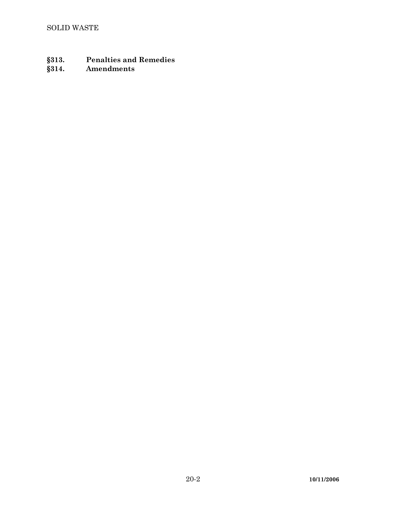- **§313. Penalties and Remedies**
- **§314. Amendments**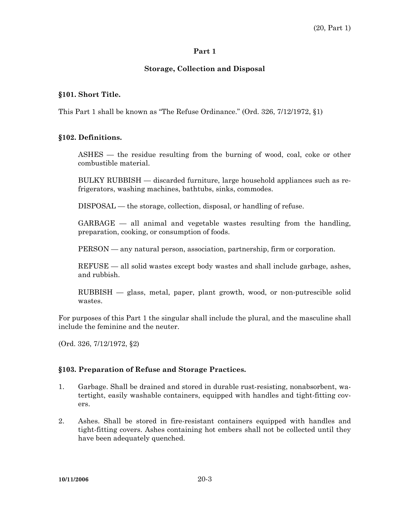## **Part 1**

## **Storage, Collection and Disposal**

## **§101. Short Title.**

This Part 1 shall be known as "The Refuse Ordinance." (Ord. 326, 7/12/1972, §1)

### **§102. Definitions.**

 ASHES — the residue resulting from the burning of wood, coal, coke or other combustible material.

 BULKY RUBBISH — discarded furniture, large household appliances such as refrigerators, washing machines, bathtubs, sinks, commodes.

DISPOSAL — the storage, collection, disposal, or handling of refuse.

 GARBAGE — all animal and vegetable wastes resulting from the handling, preparation, cooking, or consumption of foods.

PERSON — any natural person, association, partnership, firm or corporation.

 REFUSE — all solid wastes except body wastes and shall include garbage, ashes, and rubbish.

 RUBBISH — glass, metal, paper, plant growth, wood, or non-putrescible solid wastes.

For purposes of this Part 1 the singular shall include the plural, and the masculine shall include the feminine and the neuter.

(Ord. 326, 7/12/1972, §2)

## **§103. Preparation of Refuse and Storage Practices.**

- 1. Garbage. Shall be drained and stored in durable rust-resisting, nonabsorbent, watertight, easily washable containers, equipped with handles and tight-fitting covers.
- 2. Ashes. Shall be stored in fire-resistant containers equipped with handles and tight-fitting covers. Ashes containing hot embers shall not be collected until they have been adequately quenched.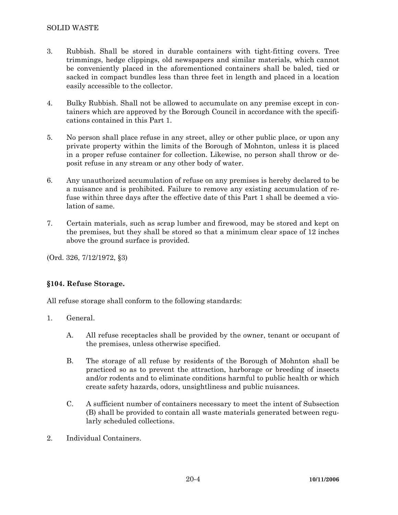- 3. Rubbish. Shall be stored in durable containers with tight-fitting covers. Tree trimmings, hedge clippings, old newspapers and similar materials, which cannot be conveniently placed in the aforementioned containers shall be baled, tied or sacked in compact bundles less than three feet in length and placed in a location easily accessible to the collector.
- 4. Bulky Rubbish. Shall not be allowed to accumulate on any premise except in containers which are approved by the Borough Council in accordance with the specifications contained in this Part 1.
- 5. No person shall place refuse in any street, alley or other public place, or upon any private property within the limits of the Borough of Mohnton, unless it is placed in a proper refuse container for collection. Likewise, no person shall throw or deposit refuse in any stream or any other body of water.
- 6. Any unauthorized accumulation of refuse on any premises is hereby declared to be a nuisance and is prohibited. Failure to remove any existing accumulation of refuse within three days after the effective date of this Part 1 shall be deemed a violation of same.
- 7. Certain materials, such as scrap lumber and firewood, may be stored and kept on the premises, but they shall be stored so that a minimum clear space of 12 inches above the ground surface is provided.

(Ord. 326, 7/12/1972, §3)

## **§104. Refuse Storage.**

All refuse storage shall conform to the following standards:

- 1. General.
	- A. All refuse receptacles shall be provided by the owner, tenant or occupant of the premises, unless otherwise specified.
	- B. The storage of all refuse by residents of the Borough of Mohnton shall be practiced so as to prevent the attraction, harborage or breeding of insects and/or rodents and to eliminate conditions harmful to public health or which create safety hazards, odors, unsightliness and public nuisances.
	- C. A sufficient number of containers necessary to meet the intent of Subsection (B) shall be provided to contain all waste materials generated between regularly scheduled collections.
- 2. Individual Containers.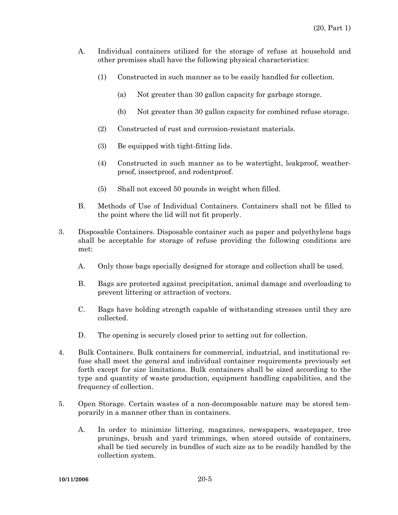- A. Individual containers utilized for the storage of refuse at household and other premises shall have the following physical characteristics:
	- (1) Constructed in such manner as to be easily handled for collection.
		- (a) Not greater than 30 gallon capacity for garbage storage.
		- (b) Not greater than 30 gallon capacity for combined refuse storage.
	- (2) Constructed of rust and corrosion-resistant materials.
	- (3) Be equipped with tight-fitting lids.
	- (4) Constructed in such manner as to be watertight, leakproof, weatherproof, insectproof, and rodentproof.
	- (5) Shall not exceed 50 pounds in weight when filled.
- B. Methods of Use of Individual Containers. Containers shall not be filled to the point where the lid will not fit properly.
- 3. Disposable Containers. Disposable container such as paper and polyethylene bags shall be acceptable for storage of refuse providing the following conditions are met:
	- A. Only those bags specially designed for storage and collection shall be used.
	- B. Bags are protected against precipitation, animal damage and overloading to prevent littering or attraction of vectors.
	- C. Bags have holding strength capable of withstanding stresses until they are collected.
	- D. The opening is securely closed prior to setting out for collection.
- 4. Bulk Containers. Bulk containers for commercial, industrial, and institutional refuse shall meet the general and individual container requirements previously set forth except for size limitations. Bulk containers shall be sized according to the type and quantity of waste production, equipment handling capabilities, and the frequency of collection.
- 5. Open Storage. Certain wastes of a non-decomposable nature may be stored temporarily in a manner other than in containers.
	- A. In order to minimize littering, magazines, newspapers, wastepaper, tree prunings, brush and yard trimmings, when stored outside of containers, shall be tied securely in bundles of such size as to be readily handled by the collection system.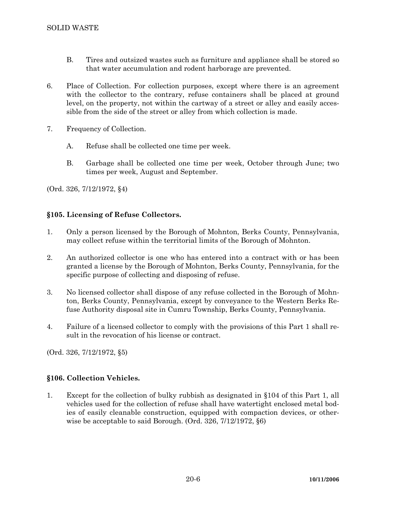- B. Tires and outsized wastes such as furniture and appliance shall be stored so that water accumulation and rodent harborage are prevented.
- 6. Place of Collection. For collection purposes, except where there is an agreement with the collector to the contrary, refuse containers shall be placed at ground level, on the property, not within the cartway of a street or alley and easily accessible from the side of the street or alley from which collection is made.
- 7. Frequency of Collection.
	- A. Refuse shall be collected one time per week.
	- B. Garbage shall be collected one time per week, October through June; two times per week, August and September.

(Ord. 326, 7/12/1972, §4)

## **§105. Licensing of Refuse Collectors.**

- 1. Only a person licensed by the Borough of Mohnton, Berks County, Pennsylvania, may collect refuse within the territorial limits of the Borough of Mohnton.
- 2. An authorized collector is one who has entered into a contract with or has been granted a license by the Borough of Mohnton, Berks County, Pennsylvania, for the specific purpose of collecting and disposing of refuse.
- 3. No licensed collector shall dispose of any refuse collected in the Borough of Mohnton, Berks County, Pennsylvania, except by conveyance to the Western Berks Refuse Authority disposal site in Cumru Township, Berks County, Pennsylvania.
- 4. Failure of a licensed collector to comply with the provisions of this Part 1 shall result in the revocation of his license or contract.

(Ord. 326, 7/12/1972, §5)

# **§106. Collection Vehicles.**

1. Except for the collection of bulky rubbish as designated in §104 of this Part 1, all vehicles used for the collection of refuse shall have watertight enclosed metal bodies of easily cleanable construction, equipped with compaction devices, or otherwise be acceptable to said Borough. (Ord. 326, 7/12/1972, §6)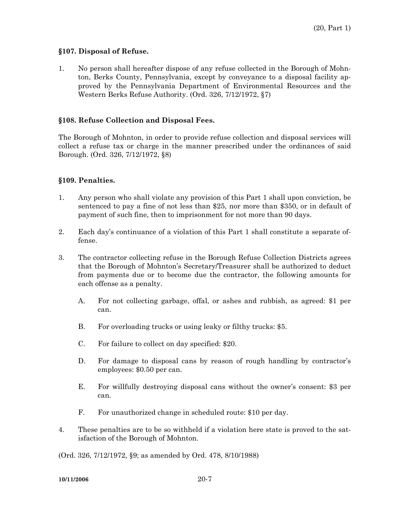### **§107. Disposal of Refuse.**

1. No person shall hereafter dispose of any refuse collected in the Borough of Mohnton, Berks County, Pennsylvania, except by conveyance to a disposal facility approved by the Pennsylvania Department of Environmental Resources and the Western Berks Refuse Authority. (Ord. 326, 7/12/1972, §7)

### **§108. Refuse Collection and Disposal Fees.**

The Borough of Mohnton, in order to provide refuse collection and disposal services will collect a refuse tax or charge in the manner prescribed under the ordinances of said Borough. (Ord. 326, 7/12/1972, §8)

### **§109. Penalties.**

- 1. Any person who shall violate any provision of this Part 1 shall upon conviction, be sentenced to pay a fine of not less than \$25, nor more than \$350, or in default of payment of such fine, then to imprisonment for not more than 90 days.
- 2. Each day's continuance of a violation of this Part 1 shall constitute a separate offense.
- 3. The contractor collecting refuse in the Borough Refuse Collection Districts agrees that the Borough of Mohnton's Secretary/Treasurer shall be authorized to deduct from payments due or to become due the contractor, the following amounts for each offense as a penalty.
	- A. For not collecting garbage, offal, or ashes and rubbish, as agreed: \$1 per can.
	- B. For overloading trucks or using leaky or filthy trucks: \$5.
	- C. For failure to collect on day specified: \$20.
	- D. For damage to disposal cans by reason of rough handling by contractor's employees: \$0.50 per can.
	- E. For willfully destroying disposal cans without the owner's consent: \$3 per can.
	- F. For unauthorized change in scheduled route: \$10 per day.
- 4. These penalties are to be so withheld if a violation here state is proved to the satisfaction of the Borough of Mohnton.

(Ord. 326, 7/12/1972, §9; as amended by Ord. 478, 8/10/1988)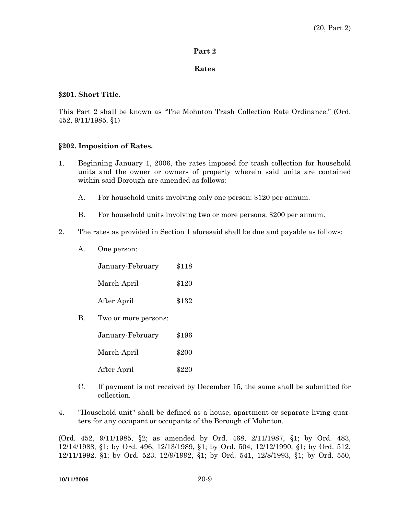#### **Part 2**

#### **Rates**

#### **§201. Short Title.**

This Part 2 shall be known as "The Mohnton Trash Collection Rate Ordinance." (Ord. 452, 9/11/1985, §1)

#### **§202. Imposition of Rates.**

- 1. Beginning January 1, 2006, the rates imposed for trash collection for household units and the owner or owners of property wherein said units are contained within said Borough are amended as follows:
	- A. For household units involving only one person: \$120 per annum.
	- B. For household units involving two or more persons: \$200 per annum.
- 2. The rates as provided in Section 1 aforesaid shall be due and payable as follows:
	- A. One person:

| January-February | \$118 |
|------------------|-------|
| March-April      | \$120 |
| After April      | \$132 |

B. Two or more persons:

| January-February | \$196 |
|------------------|-------|
| March-April      | \$200 |
| After April      | \$220 |

- C. If payment is not received by December 15, the same shall be submitted for collection.
- 4. "Household unit" shall be defined as a house, apartment or separate living quarters for any occupant or occupants of the Borough of Mohnton.

(Ord. 452, 9/11/1985, §2; as amended by Ord. 468, 2/11/1987, §1; by Ord. 483, 12/14/1988, §1; by Ord. 496, 12/13/1989, §1; by Ord. 504, 12/12/1990, §1; by Ord. 512, 12/11/1992, §1; by Ord. 523, 12/9/1992, §1; by Ord. 541, 12/8/1993, §1; by Ord. 550,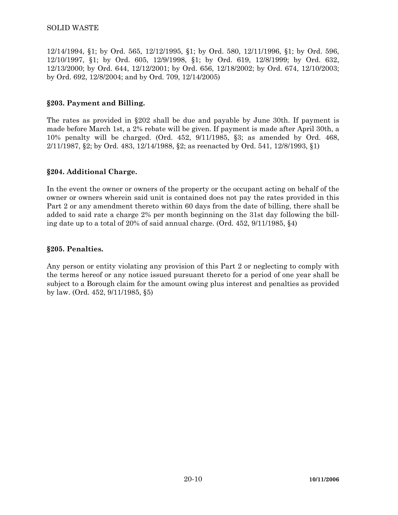12/14/1994, §1; by Ord. 565, 12/12/1995, §1; by Ord. 580, 12/11/1996, §1; by Ord. 596, 12/10/1997, §1; by Ord. 605, 12/9/1998, §1; by Ord. 619, 12/8/1999; by Ord. 632, 12/13/2000; by Ord. 644, 12/12/2001; by Ord. 656, 12/18/2002; by Ord. 674, 12/10/2003; by Ord. 692, 12/8/2004; and by Ord. 709, 12/14/2005)

## **§203. Payment and Billing.**

The rates as provided in §202 shall be due and payable by June 30th. If payment is made before March 1st, a 2% rebate will be given. If payment is made after April 30th, a 10% penalty will be charged. (Ord. 452, 9/11/1985, §3; as amended by Ord. 468, 2/11/1987, §2; by Ord. 483, 12/14/1988, §2; as reenacted by Ord. 541, 12/8/1993, §1)

### **§204. Additional Charge.**

In the event the owner or owners of the property or the occupant acting on behalf of the owner or owners wherein said unit is contained does not pay the rates provided in this Part 2 or any amendment thereto within 60 days from the date of billing, there shall be added to said rate a charge 2% per month beginning on the 31st day following the billing date up to a total of 20% of said annual charge. (Ord. 452, 9/11/1985, §4)

### **§205. Penalties.**

Any person or entity violating any provision of this Part 2 or neglecting to comply with the terms hereof or any notice issued pursuant thereto for a period of one year shall be subject to a Borough claim for the amount owing plus interest and penalties as provided by law. (Ord. 452, 9/11/1985, §5)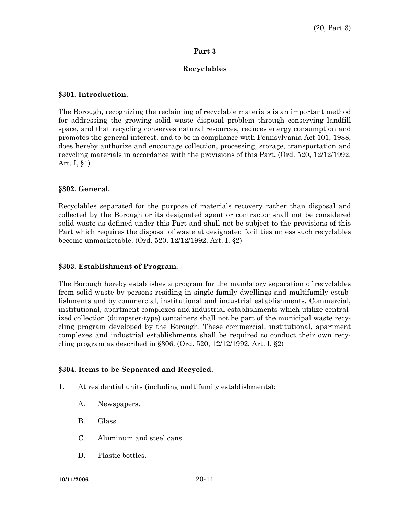## **Part 3**

# **Recyclables**

## **§301. Introduction.**

The Borough, recognizing the reclaiming of recyclable materials is an important method for addressing the growing solid waste disposal problem through conserving landfill space, and that recycling conserves natural resources, reduces energy consumption and promotes the general interest, and to be in compliance with Pennsylvania Act 101, 1988, does hereby authorize and encourage collection, processing, storage, transportation and recycling materials in accordance with the provisions of this Part. (Ord. 520, 12/12/1992, Art. I, §1)

## **§302. General.**

Recyclables separated for the purpose of materials recovery rather than disposal and collected by the Borough or its designated agent or contractor shall not be considered solid waste as defined under this Part and shall not be subject to the provisions of this Part which requires the disposal of waste at designated facilities unless such recyclables become unmarketable. (Ord. 520, 12/12/1992, Art. I, §2)

## **§303. Establishment of Program.**

The Borough hereby establishes a program for the mandatory separation of recyclables from solid waste by persons residing in single family dwellings and multifamily establishments and by commercial, institutional and industrial establishments. Commercial, institutional, apartment complexes and industrial establishments which utilize centralized collection (dumpster-type) containers shall not be part of the municipal waste recycling program developed by the Borough. These commercial, institutional, apartment complexes and industrial establishments shall be required to conduct their own recycling program as described in §306. (Ord. 520, 12/12/1992, Art. I, §2)

## **§304. Items to be Separated and Recycled.**

- 1. At residential units (including multifamily establishments):
	- A. Newspapers.
	- B. Glass.
	- C. Aluminum and steel cans.
	- D. Plastic bottles.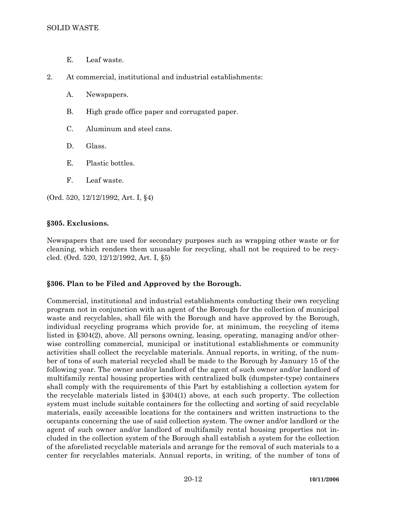- E. Leaf waste.
- 2. At commercial, institutional and industrial establishments:
	- A. Newspapers.
	- B. High grade office paper and corrugated paper.
	- C. Aluminum and steel cans.
	- D. Glass.
	- E. Plastic bottles.
	- F. Leaf waste.

(Ord. 520, 12/12/1992, Art. I, §4)

### **§305. Exclusions.**

Newspapers that are used for secondary purposes such as wrapping other waste or for cleaning, which renders them unusable for recycling, shall not be required to be recycled. (Ord. 520, 12/12/1992, Art. I, §5)

### **§306. Plan to be Filed and Approved by the Borough.**

Commercial, institutional and industrial establishments conducting their own recycling program not in conjunction with an agent of the Borough for the collection of municipal waste and recyclables, shall file with the Borough and have approved by the Borough, individual recycling programs which provide for, at minimum, the recycling of items listed in §304(2), above. All persons owning, leasing, operating, managing and/or otherwise controlling commercial, municipal or institutional establishments or community activities shall collect the recyclable materials. Annual reports, in writing, of the number of tons of such material recycled shall be made to the Borough by January 15 of the following year. The owner and/or landlord of the agent of such owner and/or landlord of multifamily rental housing properties with centralized bulk (dumpster-type) containers shall comply with the requirements of this Part by establishing a collection system for the recyclable materials listed in §304(1) above, at each such property. The collection system must include suitable containers for the collecting and sorting of said recyclable materials, easily accessible locations for the containers and written instructions to the occupants concerning the use of said collection system. The owner and/or landlord or the agent of such owner and/or landlord of multifamily rental housing properties not included in the collection system of the Borough shall establish a system for the collection of the aforelisted recyclable materials and arrange for the removal of such materials to a center for recyclables materials. Annual reports, in writing, of the number of tons of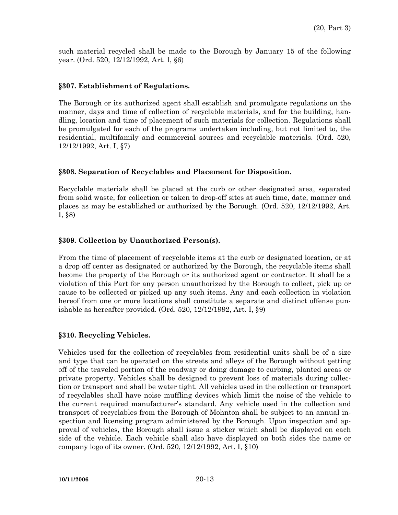such material recycled shall be made to the Borough by January 15 of the following year. (Ord. 520, 12/12/1992, Art. I, §6)

### **§307. Establishment of Regulations.**

The Borough or its authorized agent shall establish and promulgate regulations on the manner, days and time of collection of recyclable materials, and for the building, handling, location and time of placement of such materials for collection. Regulations shall be promulgated for each of the programs undertaken including, but not limited to, the residential, multifamily and commercial sources and recyclable materials. (Ord. 520, 12/12/1992, Art. I, §7)

### **§308. Separation of Recyclables and Placement for Disposition.**

Recyclable materials shall be placed at the curb or other designated area, separated from solid waste, for collection or taken to drop-off sites at such time, date, manner and places as may be established or authorized by the Borough. (Ord. 520, 12/12/1992, Art. I, §8)

### **§309. Collection by Unauthorized Person(s).**

From the time of placement of recyclable items at the curb or designated location, or at a drop off center as designated or authorized by the Borough, the recyclable items shall become the property of the Borough or its authorized agent or contractor. It shall be a violation of this Part for any person unauthorized by the Borough to collect, pick up or cause to be collected or picked up any such items. Any and each collection in violation hereof from one or more locations shall constitute a separate and distinct offense punishable as hereafter provided. (Ord. 520, 12/12/1992, Art. I, §9)

## **§310. Recycling Vehicles.**

Vehicles used for the collection of recyclables from residential units shall be of a size and type that can be operated on the streets and alleys of the Borough without getting off of the traveled portion of the roadway or doing damage to curbing, planted areas or private property. Vehicles shall be designed to prevent loss of materials during collection or transport and shall be water tight. All vehicles used in the collection or transport of recyclables shall have noise muffling devices which limit the noise of the vehicle to the current required manufacturer's standard. Any vehicle used in the collection and transport of recyclables from the Borough of Mohnton shall be subject to an annual inspection and licensing program administered by the Borough. Upon inspection and approval of vehicles, the Borough shall issue a sticker which shall be displayed on each side of the vehicle. Each vehicle shall also have displayed on both sides the name or company logo of its owner. (Ord. 520, 12/12/1992, Art. I, §10)